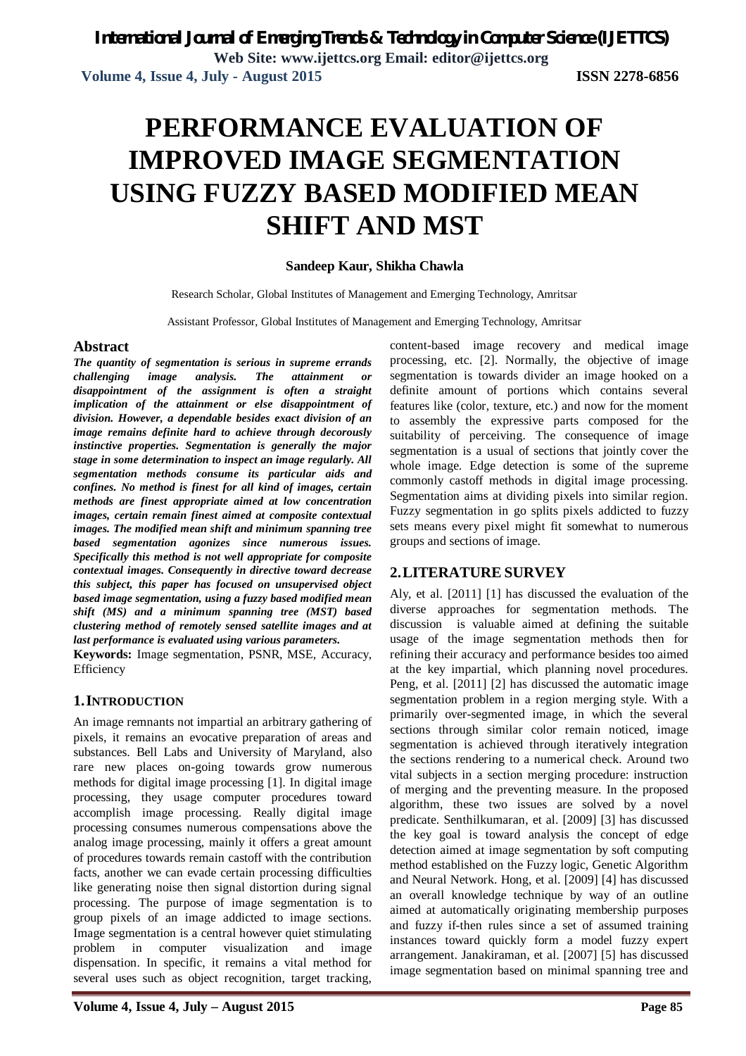# **PERFORMANCE EVALUATION OF IMPROVED IMAGE SEGMENTATION USING FUZZY BASED MODIFIED MEAN SHIFT AND MST**

### **Sandeep Kaur, Shikha Chawla**

Research Scholar, Global Institutes of Management and Emerging Technology, Amritsar

Assistant Professor, Global Institutes of Management and Emerging Technology, Amritsar

### **Abstract**

*The quantity of segmentation is serious in supreme errands challenging image analysis. The attainment or disappointment of the assignment is often a straight implication of the attainment or else disappointment of division. However, a dependable besides exact division of an image remains definite hard to achieve through decorously instinctive properties. Segmentation is generally the major stage in some determination to inspect an image regularly. All segmentation methods consume its particular aids and confines. No method is finest for all kind of images, certain methods are finest appropriate aimed at low concentration images, certain remain finest aimed at composite contextual images. The modified mean shift and minimum spanning tree based segmentation agonizes since numerous issues. Specifically this method is not well appropriate for composite contextual images. Consequently in directive toward decrease this subject, this paper has focused on unsupervised object based image segmentation, using a fuzzy based modified mean shift (MS) and a minimum spanning tree (MST) based clustering method of remotely sensed satellite images and at last performance is evaluated using various parameters.*

**Keywords:** Image segmentation, PSNR, MSE, Accuracy, Efficiency

### **1.INTRODUCTION**

An image remnants not impartial an arbitrary gathering of pixels, it remains an evocative preparation of areas and substances. Bell Labs and University of Maryland, also rare new places on-going towards grow numerous methods for digital image processing [1]. In digital image processing, they usage computer procedures toward accomplish image processing. Really digital image processing consumes numerous compensations above the analog image processing, mainly it offers a great amount of procedures towards remain castoff with the contribution facts, another we can evade certain processing difficulties like generating noise then signal distortion during signal processing. The purpose of image segmentation is to group pixels of an image addicted to image sections. Image segmentation is a central however quiet stimulating problem in computer visualization and image dispensation. In specific, it remains a vital method for several uses such as object recognition, target tracking,

content-based image recovery and medical image processing, etc. [2]. Normally, the objective of image segmentation is towards divider an image hooked on a definite amount of portions which contains several features like (color, texture, etc.) and now for the moment to assembly the expressive parts composed for the suitability of perceiving. The consequence of image segmentation is a usual of sections that jointly cover the whole image. Edge detection is some of the supreme commonly castoff methods in digital image processing. Segmentation aims at dividing pixels into similar region. Fuzzy segmentation in go splits pixels addicted to fuzzy sets means every pixel might fit somewhat to numerous groups and sections of image.

# **2.LITERATURE SURVEY**

Aly, et al. [2011] [1] has discussed the evaluation of the diverse approaches for segmentation methods. The discussion is valuable aimed at defining the suitable usage of the image segmentation methods then for refining their accuracy and performance besides too aimed at the key impartial, which planning novel procedures. Peng, et al. [2011] [2] has discussed the automatic image segmentation problem in a region merging style. With a primarily over-segmented image, in which the several sections through similar color remain noticed, image segmentation is achieved through iteratively integration the sections rendering to a numerical check. Around two vital subjects in a section merging procedure: instruction of merging and the preventing measure. In the proposed algorithm, these two issues are solved by a novel predicate. Senthilkumaran, et al. [2009] [3] has discussed the key goal is toward analysis the concept of edge detection aimed at image segmentation by soft computing method established on the Fuzzy logic, Genetic Algorithm and Neural Network. Hong, et al. [2009] [4] has discussed an overall knowledge technique by way of an outline aimed at automatically originating membership purposes and fuzzy if-then rules since a set of assumed training instances toward quickly form a model fuzzy expert arrangement. Janakiraman, et al. [2007] [5] has discussed image segmentation based on minimal spanning tree and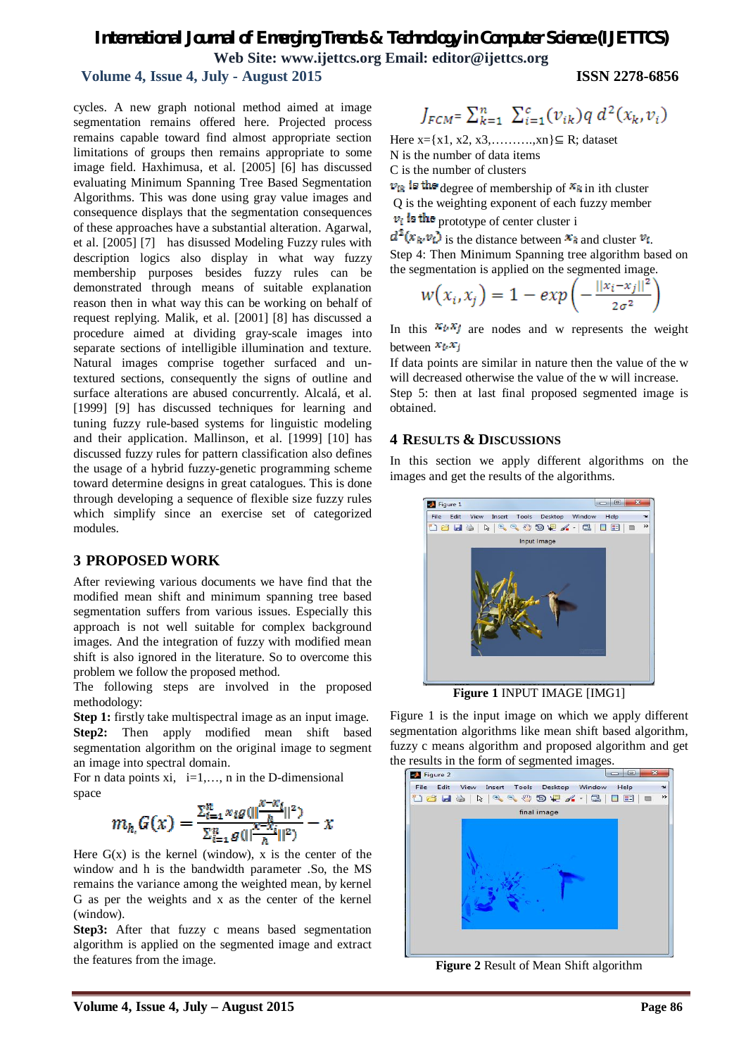# *International Journal of Emerging Trends & Technology in Computer Science (IJETTCS)* **Web Site: www.ijettcs.org Email: editor@ijettcs.org**

### **Volume 4, Issue 4, July - August 2015 ISSN 2278-6856**

cycles. A new graph notional method aimed at image segmentation remains offered here. Projected process remains capable toward find almost appropriate section limitations of groups then remains appropriate to some image field. Haxhimusa, et al. [2005] [6] has discussed evaluating Minimum Spanning Tree Based Segmentation Algorithms. This was done using gray value images and consequence displays that the segmentation consequences of these approaches have a substantial alteration. Agarwal, et al. [2005] [7] has disussed Modeling Fuzzy rules with description logics also display in what way fuzzy membership purposes besides fuzzy rules can be demonstrated through means of suitable explanation reason then in what way this can be working on behalf of request replying. Malik, et al. [2001] [8] has discussed a procedure aimed at dividing gray-scale images into separate sections of intelligible illumination and texture. Natural images comprise together surfaced and untextured sections, consequently the signs of outline and surface alterations are abused concurrently. Alcalá, et al. [1999] [9] has discussed techniques for learning and tuning fuzzy rule-based systems for linguistic modeling and their application. Mallinson, et al. [1999] [10] has discussed fuzzy rules for pattern classification also defines the usage of a hybrid fuzzy-genetic programming scheme toward determine designs in great catalogues. This is done through developing a sequence of flexible size fuzzy rules which simplify since an exercise set of categorized modules.

### **3 PROPOSED WORK**

After reviewing various documents we have find that the modified mean shift and minimum spanning tree based segmentation suffers from various issues. Especially this approach is not well suitable for complex background images. And the integration of fuzzy with modified mean shift is also ignored in the literature. So to overcome this problem we follow the proposed method.

The following steps are involved in the proposed methodology:

**Step 1:** firstly take multispectral image as an input image. **Step2:** Then apply modified mean shift based segmentation algorithm on the original image to segment an image into spectral domain.

For n data points xi,  $i=1,..., n$  in the D-dimensional space

$$
m_h G(x) = \frac{\sum_{i=1}^n x_i g(||\frac{x - x_i}{h}||^2)}{\sum_{i=1}^n g(||\frac{x - x_i}{h}||^2)} - x
$$

Here  $G(x)$  is the kernel (window), x is the center of the window and h is the bandwidth parameter .So, the MS remains the variance among the weighted mean, by kernel G as per the weights and x as the center of the kernel (window).

**Step3:** After that fuzzy c means based segmentation algorithm is applied on the segmented image and extract the features from the image.

$$
J_{FCM} = \sum_{k=1}^{n} \sum_{i=1}^{c} (v_{ik}) q d^{2}(x_{k}, v_{i})
$$

Here  $x= {x1, x2, x3, \dots, xn}$  ⊆ R; dataset N is the number of data items C is the number of clusters

 $v_{ik}$  is the degree of membership of  $x_k$  in ith cluster Q is the weighting exponent of each fuzzy member  $v_i$  is the prototype of center cluster i

 $d^{2}(x_{k}, v_{i})$  is the distance between  $x_{k}$  and cluster  $v_{i}$ . Step 4: Then Minimum Spanning tree algorithm based on the segmentation is applied on the segmented image.

$$
w(x_i, x_j) = 1 - exp\left(-\frac{||x_i - x_j||^2}{2\sigma^2}\right)
$$

In this  $x_i, x_j$  are nodes and w represents the weight between  $x_i, x_j$ 

If data points are similar in nature then the value of the w will decreased otherwise the value of the w will increase. Step 5: then at last final proposed segmented image is obtained.

### **4 RESULTS & DISCUSSIONS**

In this section we apply different algorithms on the images and get the results of the algorithms.



**Figure 1** INPUT IMAGE [IMG1]

Figure 1 is the input image on which we apply different segmentation algorithms like mean shift based algorithm, fuzzy c means algorithm and proposed algorithm and get



**Figure 2** Result of Mean Shift algorithm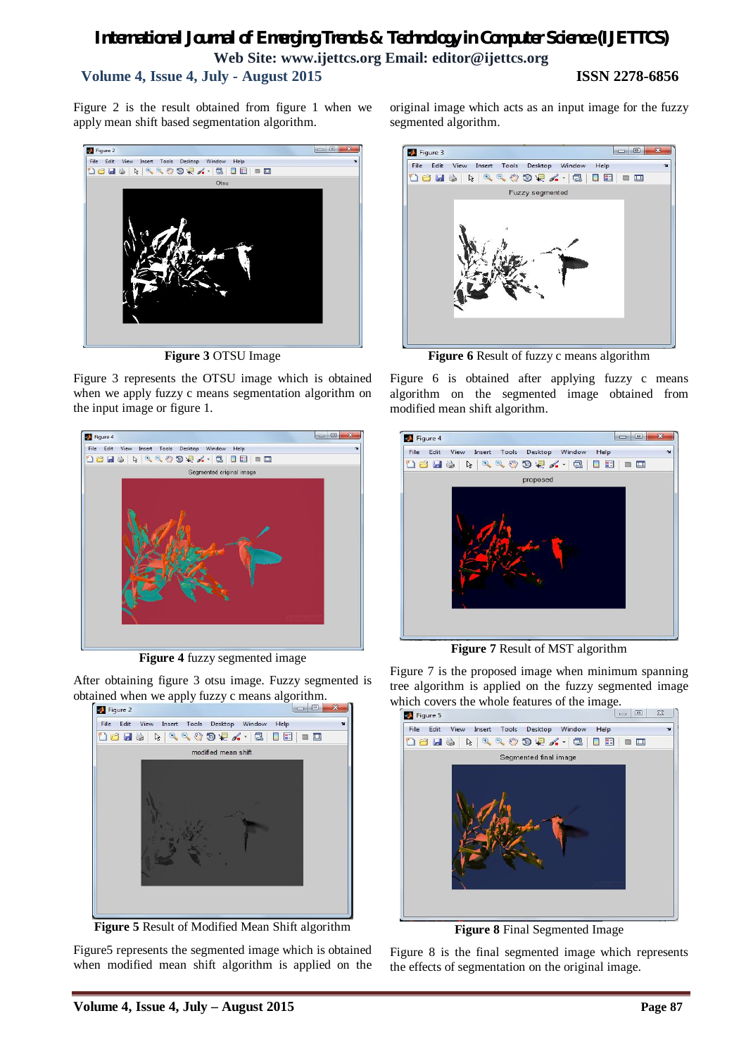# *International Journal of Emerging Trends & Technology in Computer Science (IJETTCS)* **Web Site: www.ijettcs.org Email: editor@ijettcs.org Volume 4, Issue 4, July - August 2015 ISSN 2278-6856**

Figure 2 is the result obtained from figure 1 when we apply mean shift based segmentation algorithm.



**Figure 3** OTSU Image

Figure 3 represents the OTSU image which is obtained when we apply fuzzy c means segmentation algorithm on the input image or figure 1.



**Figure 4** fuzzy segmented image

After obtaining figure 3 otsu image. Fuzzy segmented is obtained when we apply fuzzy c means algorithm.<br> $\boxed{\bullet}$  Figure 2



**Figure 5** Result of Modified Mean Shift algorithm

Figure5 represents the segmented image which is obtained when modified mean shift algorithm is applied on the original image which acts as an input image for the fuzzy segmented algorithm.



**Figure 6** Result of fuzzy c means algorithm

Figure 6 is obtained after applying fuzzy c means algorithm on the segmented image obtained from modified mean shift algorithm.



**Figure 7** Result of MST algorithm

Figure 7 is the proposed image when minimum spanning tree algorithm is applied on the fuzzy segmented image which covers the whole features of the image.



**Figure 8** Final Segmented Image

Figure 8 is the final segmented image which represents the effects of segmentation on the original image.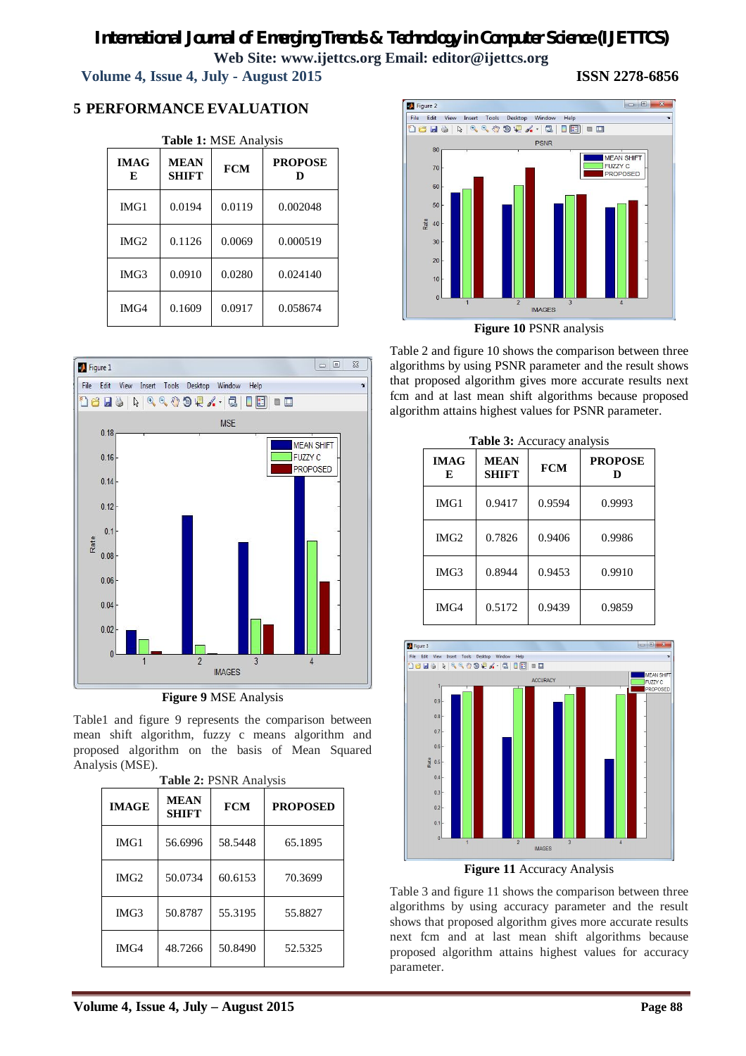# *International Journal of Emerging Trends & Technology in Computer Science (IJETTCS)* **Web Site: www.ijettcs.org Email: editor@ijettcs.org**

 **Volume 4, Issue 4, July - August 2015 ISSN 2278-6856**

# **5 PERFORMANCE EVALUATION**

| <b>IMAG</b><br>E | <b>MEAN</b><br><b>SHIFT</b> | <b>FCM</b> | <b>PROPOSE</b> |
|------------------|-----------------------------|------------|----------------|
| IMG1             | 0.0194                      | 0.0119     | 0.002048       |
| IMG2             | 0.1126                      | 0.0069     | 0.000519       |
| IMG3             | 0.0910                      | 0.0280     | 0.024140       |
| IMG4             | 0.1609                      | 0.0917     | 0.058674       |



**Figure 9** MSE Analysis

Table1 and figure 9 represents the comparison between mean shift algorithm, fuzzy c means algorithm and proposed algorithm on the basis of Mean Squared Analysis (MSE).

| <b>IMAGE</b> | <b>MEAN</b><br><b>SHIFT</b> | <b>FCM</b> | <b>PROPOSED</b> |
|--------------|-----------------------------|------------|-----------------|
| IMG1         | 56.6996                     | 58.5448    | 65.1895         |
| IMG2         | 50.0734                     | 60.6153    | 70.3699         |
| IMG3         | 50.8787                     | 55.3195    | 55.8827         |
| IMG4         | 48.7266                     | 50.8490    | 52.5325         |



**Figure 10** PSNR analysis

Table 2 and figure 10 shows the comparison between three algorithms by using PSNR parameter and the result shows that proposed algorithm gives more accurate results next fcm and at last mean shift algorithms because proposed algorithm attains highest values for PSNR parameter.

| <b>IMAG</b><br>E | <b>MEAN</b><br><b>SHIFT</b> | <b>FCM</b> | <b>PROPOSE</b><br>D |
|------------------|-----------------------------|------------|---------------------|
| IMGI             | 0.9417                      | 0.9594     | 0.9993              |
| IMG2             | 0.7826                      | 0.9406     | 0.9986              |
| IMG3             | 0.8944                      | 0.9453     | 0.9910              |
| IMG4             | 0.5172                      | 0.9439     | 0.9859              |

| <b>Table 3:</b> Accuracy analysis |  |
|-----------------------------------|--|
|-----------------------------------|--|



**Figure 11** Accuracy Analysis

Table 3 and figure 11 shows the comparison between three algorithms by using accuracy parameter and the result shows that proposed algorithm gives more accurate results next fcm and at last mean shift algorithms because proposed algorithm attains highest values for accuracy parameter.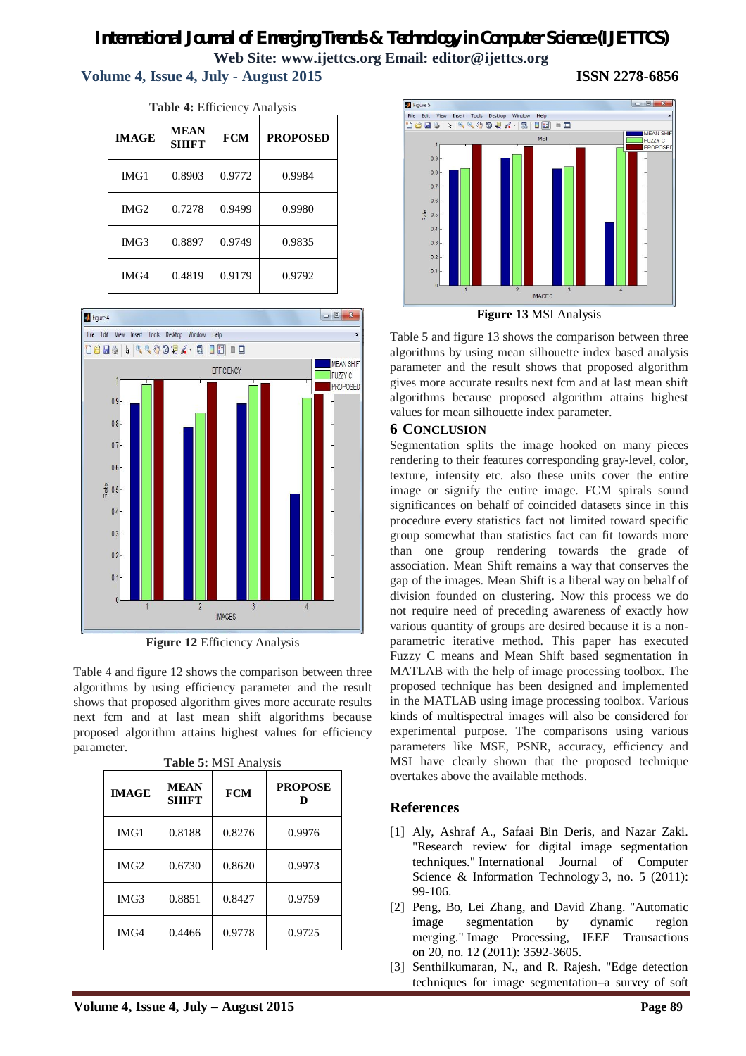# *International Journal of Emerging Trends & Technology in Computer Science (IJETTCS)* **Web Site: www.ijettcs.org Email: editor@ijettcs.org Volume 4, Issue 4, July - August 2015 ISSN 2278-6856**

| Table 4: Efficiency Analysis |                             |            |                 |
|------------------------------|-----------------------------|------------|-----------------|
| <b>IMAGE</b>                 | <b>MEAN</b><br><b>SHIFT</b> | <b>FCM</b> | <b>PROPOSED</b> |
| IMG1                         | 0.8903                      | 0.9772     | 0.9984          |
| IMG2                         | 0.7278                      | 0.9499     | 0.9980          |
| IMG3                         | 0.8897                      | 0.9749     | 0.9835          |
| IMG4                         | 0.4819                      | 0.9179     | 0.9792          |



**Figure 12** Efficiency Analysis

Table 4 and figure 12 shows the comparison between three algorithms by using efficiency parameter and the result shows that proposed algorithm gives more accurate results next fcm and at last mean shift algorithms because proposed algorithm attains highest values for efficiency parameter.

| <b>IMAGE</b> | <b>MEAN</b><br><b>SHIFT</b> | <b>FCM</b> | <b>PROPOSE</b><br>D |
|--------------|-----------------------------|------------|---------------------|
| IMG1         | 0.8188                      | 0.8276     | 0.9976              |
| IMG2         | 0.6730                      | 0.8620     | 0.9973              |
| IMG3         | 0.8851                      | 0.8427     | 0.9759              |
| IMG4         | 0.4466                      | 0.9778     | 0.9725              |

**Table 5:** MSI Analysis



**Figure 13** MSI Analysis

Table 5 and figure 13 shows the comparison between three algorithms by using mean silhouette index based analysis parameter and the result shows that proposed algorithm gives more accurate results next fcm and at last mean shift algorithms because proposed algorithm attains highest values for mean silhouette index parameter.

## **6 CONCLUSION**

Segmentation splits the image hooked on many pieces rendering to their features corresponding gray-level, color, texture, intensity etc. also these units cover the entire image or signify the entire image. FCM spirals sound significances on behalf of coincided datasets since in this procedure every statistics fact not limited toward specific group somewhat than statistics fact can fit towards more than one group rendering towards the grade of association. Mean Shift remains a way that conserves the gap of the images. Mean Shift is a liberal way on behalf of division founded on clustering. Now this process we do not require need of preceding awareness of exactly how various quantity of groups are desired because it is a nonparametric iterative method. This paper has executed Fuzzy C means and Mean Shift based segmentation in MATLAB with the help of image processing toolbox. The proposed technique has been designed and implemented in the MATLAB using image processing toolbox. Various kinds of multispectral images will also be considered for experimental purpose. The comparisons using various parameters like MSE, PSNR, accuracy, efficiency and MSI have clearly shown that the proposed technique overtakes above the available methods.

# **References**

- [1] Aly, Ashraf A., Safaai Bin Deris, and Nazar Zaki. "Research review for digital image segmentation techniques." International Journal of Computer Science & Information Technology 3, no. 5 (2011): 99-106.
- [2] Peng, Bo, Lei Zhang, and David Zhang. "Automatic image segmentation by dynamic region merging." Image Processing, IEEE Transactions on 20, no. 12 (2011): 3592-3605.
- [3] Senthilkumaran, N., and R. Rajesh. "Edge detection techniques for image segmentation–a survey of soft